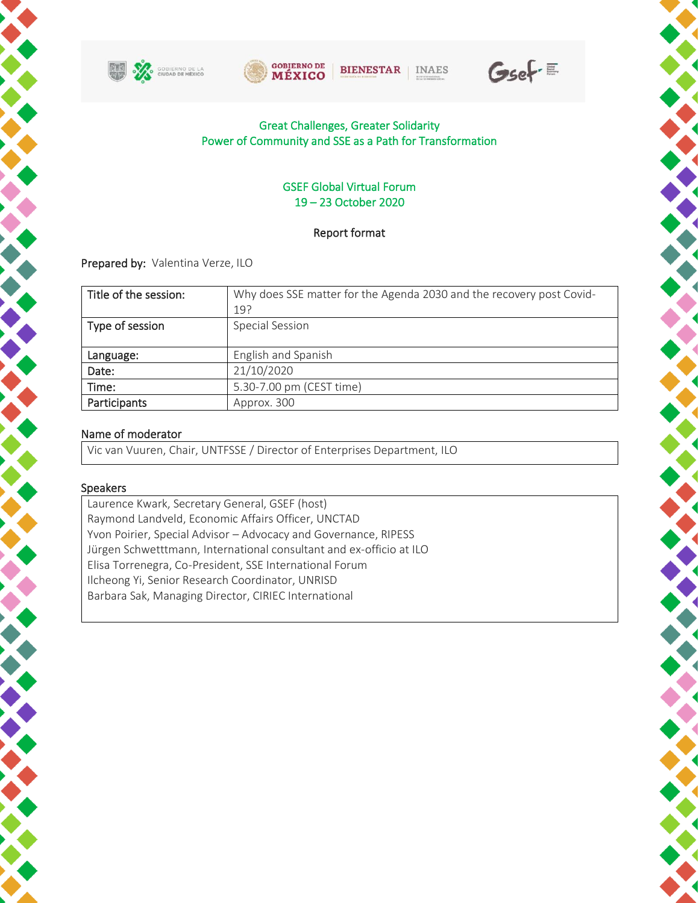







X

#### Great Challenges, Greater Solidarity Power of Community and SSE as a Path for Transformation

#### GSEF Global Virtual Forum 19 – 23 October 2020

#### Report format

Prepared by: Valentina Verze, ILO

| Title of the session:<br>19?       | Why does SSE matter for the Agenda 2030 and the recovery post Covid- |
|------------------------------------|----------------------------------------------------------------------|
| Type of session<br>Special Session |                                                                      |
| Language:                          | English and Spanish                                                  |
| 21/10/2020<br>Date:                |                                                                      |
| Time:                              | 5.30-7.00 pm (CEST time)                                             |
| Participants<br>Approx. 300        |                                                                      |

#### Name of moderator

Vic van Vuuren, Chair, UNTFSSE / Director of Enterprises Department, ILO

#### Speakers

Laurence Kwark, Secretary General, GSEF (host) Raymond Landveld, Economic Affairs Officer, UNCTAD Yvon Poirier, Special Advisor – Advocacy and Governance, RIPESS Jürgen Schwetttmann, International consultant and ex-officio at ILO Elisa Torrenegra, Co-President, SSE International Forum Ilcheong Yi, Senior Research Coordinator, UNRISD Barbara Sak, Managing Director, CIRIEC International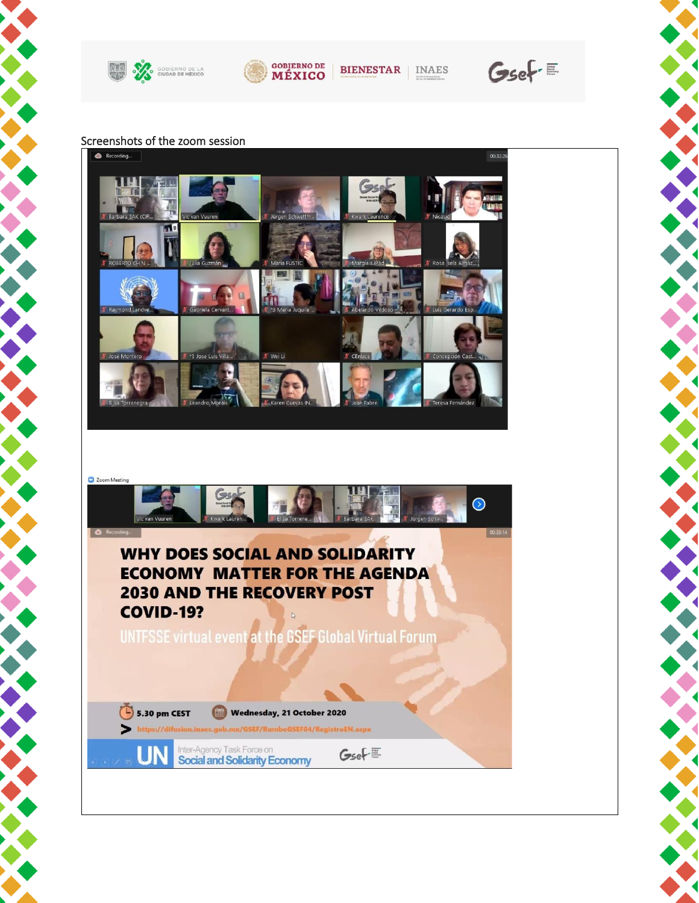



**BIENESTAR** | INAES

 $GseF \equiv$ 

 $\overline{\phantom{a}}$ 

X

## Screenshots of the zoom session



### C Zoom Meeting  $\bullet$ **WHY DOES SOCIAL AND SOLIDARITY ECONOMY MATTER FOR THE AGENDA 2030 AND THE RECOVERY POST COVID-19?** UNTFSSE virtual event at the GSEF Global Virtual Forum  $\left(\frac{1}{2}\right)$  5.30 pm CEST Wednesday, 21 October 2020  $\blacktriangleright$  https://di imboGSEF04/RegistroEN.aspx Inter-Agency Task Force on LIN  $GseF \equiv$ **Social and Solidarity Economy**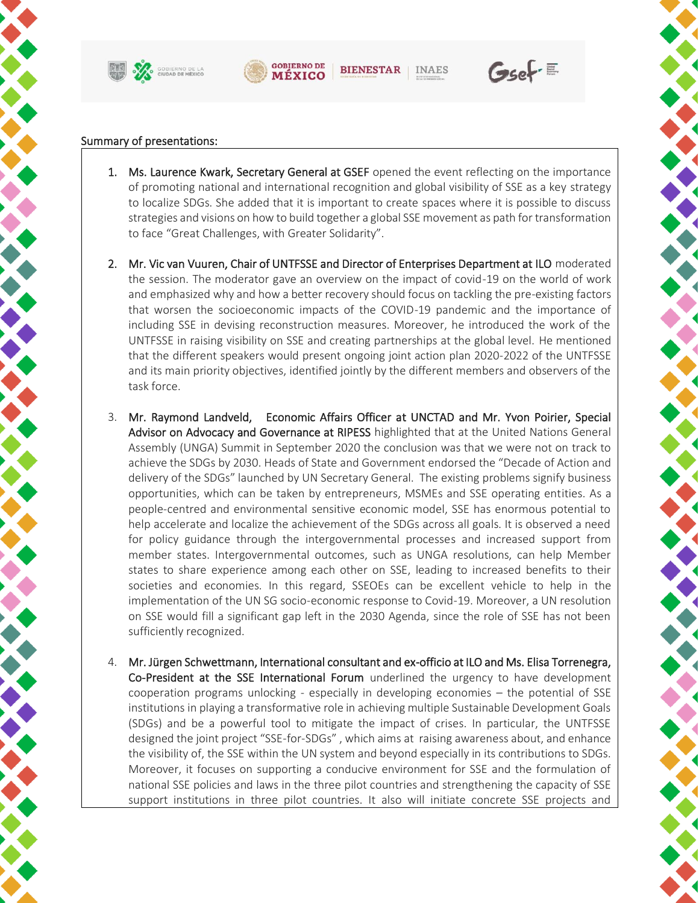





 $GseF \equiv$ 

#### Summary of presentations:

- 1. Ms. Laurence Kwark, Secretary General at GSEF opened the event reflecting on the importance of promoting national and international recognition and global visibility of SSE as a key strategy to localize SDGs. She added that it is important to create spaces where it is possible to discuss strategies and visions on how to build together a global SSE movement as path for transformation to face "Great Challenges, with Greater Solidarity".
- 2. Mr. Vic van Vuuren, Chair of UNTFSSE and Director of Enterprises Department at ILO moderated the session. The moderator gave an overview on the impact of covid-19 on the world of work and emphasized why and how a better recovery should focus on tackling the pre-existing factors that worsen the socioeconomic impacts of the COVID-19 pandemic and the importance of including SSE in devising reconstruction measures. Moreover, he introduced the work of the UNTFSSE in raising visibility on SSE and creating partnerships at the global level. He mentioned that the different speakers would present ongoing joint action plan 2020-2022 of the UNTFSSE and its main priority objectives, identified jointly by the different members and observers of the task force.
- 3. Mr. Raymond Landveld, Economic Affairs Officer at UNCTAD and Mr. Yvon Poirier, Special Advisor on Advocacy and Governance at RIPESS highlighted that at the United Nations General Assembly (UNGA) Summit in September 2020 the conclusion was that we were not on track to achieve the SDGs by 2030. Heads of State and Government endorsed the "Decade of Action and delivery of the SDGs" launched by UN Secretary General. The existing problems signify business opportunities, which can be taken by entrepreneurs, MSMEs and SSE operating entities. As a people-centred and environmental sensitive economic model, SSE has enormous potential to help accelerate and localize the achievement of the SDGs across all goals. It is observed a need for policy guidance through the intergovernmental processes and increased support from member states. Intergovernmental outcomes, such as UNGA resolutions, can help Member states to share experience among each other on SSE, leading to increased benefits to their societies and economies. In this regard, SSEOEs can be excellent vehicle to help in the implementation of the UN SG socio-economic response to Covid-19. Moreover, a UN resolution on SSE would fill a significant gap left in the 2030 Agenda, since the role of SSE has not been sufficiently recognized.
- 4. Mr. Jürgen Schwettmann, International consultant and ex-officio at ILO and Ms. Elisa Torrenegra, Co-President at the SSE International Forum underlined the urgency to have development cooperation programs unlocking - especially in developing economies – the potential of SSE institutions in playing a transformative role in achieving multiple Sustainable Development Goals (SDGs) and be a powerful tool to mitigate the impact of crises. In particular, the UNTFSSE designed the joint project "SSE-for-SDGs" , which aims at raising awareness about, and enhance the visibility of, the SSE within the UN system and beyond especially in its contributions to SDGs. Moreover, it focuses on supporting a conducive environment for SSE and the formulation of national SSE policies and laws in the three pilot countries and strengthening the capacity of SSE support institutions in three pilot countries. It also will initiate concrete SSE projects and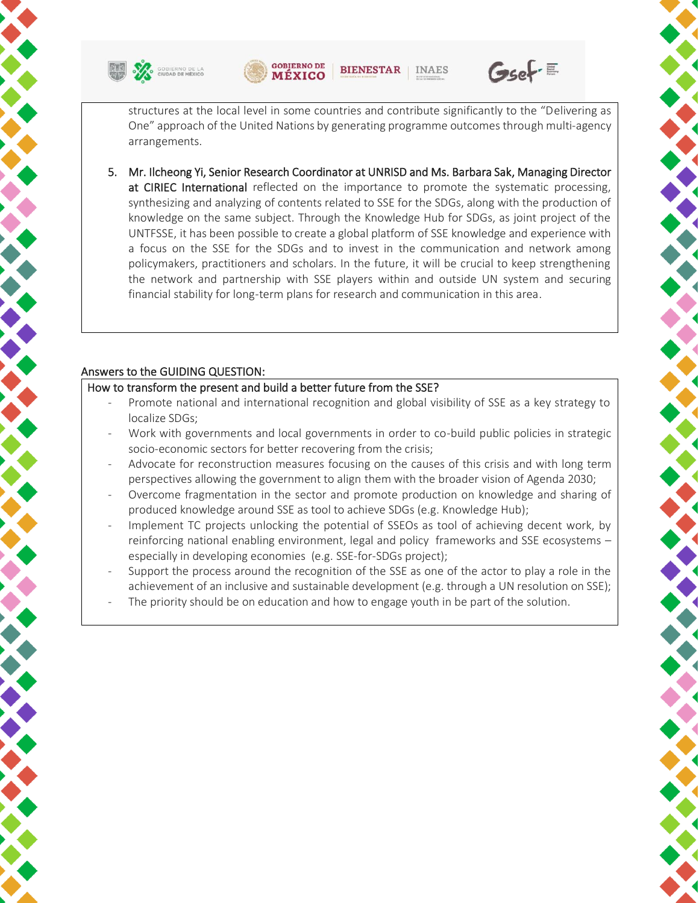



 $GseF =$ 

structures at the local level in some countries and contribute significantly to the "Delivering as One" approach of the United Nations by generating programme outcomes through multi-agency arrangements.

5. Mr. Ilcheong Yi, Senior Research Coordinator at UNRISD and Ms. Barbara Sak, Managing Director at CIRIEC International reflected on the importance to promote the systematic processing, synthesizing and analyzing of contents related to SSE for the SDGs, along with the production of knowledge on the same subject. Through the Knowledge Hub for SDGs, as joint project of the UNTFSSE, it has been possible to create a global platform of SSE knowledge and experience with a focus on the SSE for the SDGs and to invest in the communication and network among policymakers, practitioners and scholars. In the future, it will be crucial to keep strengthening the network and partnership with SSE players within and outside UN system and securing financial stability for long-term plans for research and communication in this area.

#### Answers to the GUIDING QUESTION:

#### How to transform the present and build a better future from the SSE?

- Promote national and international recognition and global visibility of SSE as a key strategy to localize SDGs;
- Work with governments and local governments in order to co-build public policies in strategic socio-economic sectors for better recovering from the crisis;
- Advocate for reconstruction measures focusing on the causes of this crisis and with long term perspectives allowing the government to align them with the broader vision of Agenda 2030;
- Overcome fragmentation in the sector and promote production on knowledge and sharing of produced knowledge around SSE as tool to achieve SDGs (e.g. Knowledge Hub);
- Implement TC projects unlocking the potential of SSEOs as tool of achieving decent work, by reinforcing national enabling environment, legal and policy frameworks and SSE ecosystems – especially in developing economies (e.g. SSE-for-SDGs project);
- Support the process around the recognition of the SSE as one of the actor to play a role in the achievement of an inclusive and sustainable development (e.g. through a UN resolution on SSE);
- The priority should be on education and how to engage youth in be part of the solution.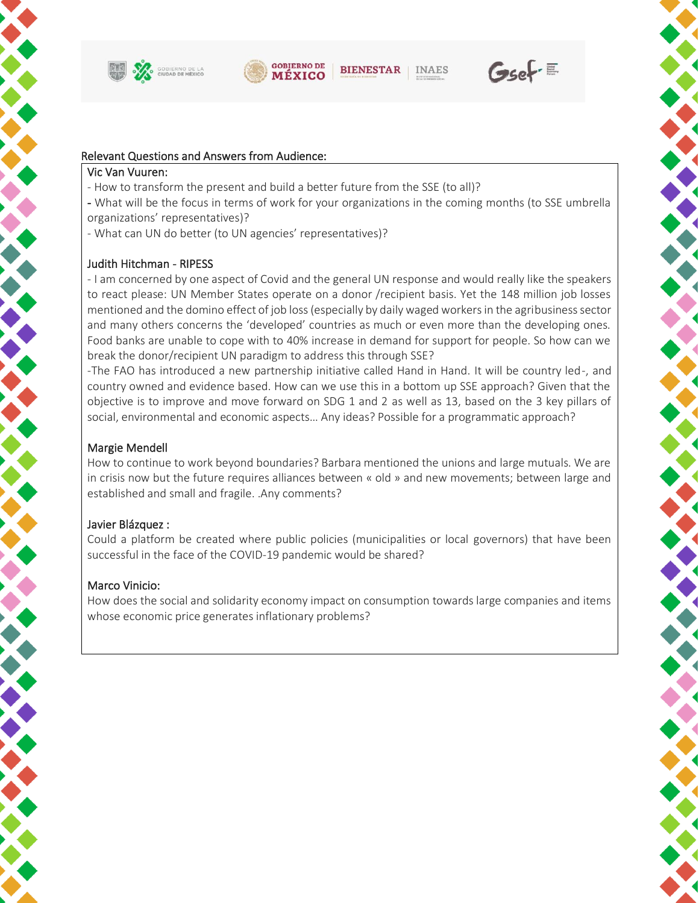



**BIENESTAR INAES** 

# $GseF =$

#### Relevant Questions and Answers from Audience:

#### Vic Van Vuuren:

- How to transform the present and build a better future from the SSE (to all)?
- What will be the focus in terms of work for your organizations in the coming months (to SSE umbrella organizations' representatives)?
- What can UN do better (to UN agencies' representatives)?

#### Judith Hitchman - RIPESS

- I am concerned by one aspect of Covid and the general UN response and would really like the speakers to react please: UN Member States operate on a donor /recipient basis. Yet the 148 million job losses mentioned and the domino effect of job loss (especially by daily waged workers in the agribusiness sector and many others concerns the 'developed' countries as much or even more than the developing ones. Food banks are unable to cope with to 40% increase in demand for support for people. So how can we break the donor/recipient UN paradigm to address this through SSE?

-The FAO has introduced a new partnership initiative called Hand in Hand. It will be country led-, and country owned and evidence based. How can we use this in a bottom up SSE approach? Given that the objective is to improve and move forward on SDG 1 and 2 as well as 13, based on the 3 key pillars of social, environmental and economic aspects… Any ideas? Possible for a programmatic approach?

#### Margie Mendell

How to continue to work beyond boundaries? Barbara mentioned the unions and large mutuals. We are in crisis now but the future requires alliances between « old » and new movements; between large and established and small and fragile. .Any comments?

#### Javier Blázquez :

Could a platform be created where public policies (municipalities or local governors) that have been successful in the face of the COVID-19 pandemic would be shared?

#### Marco Vinicio:

How does the social and solidarity economy impact on consumption towards large companies and items whose economic price generates inflationary problems?